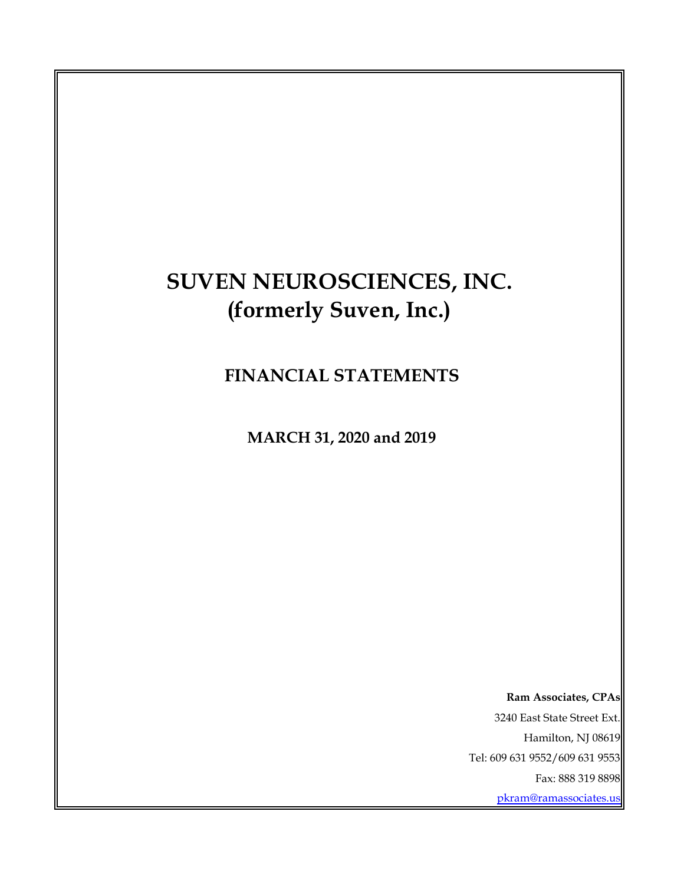# **SUVEN NEUROSCIENCES, INC. (formerly Suven, Inc.)**

 **FINANCIAL STATEMENTS**

 **MARCH 31, 2020 and 2019**

 **Ram Associates, CPAs** 3240 East State Street Ext. Hamilton, NJ 08619 Tel: 609 631 9552/609 631 9553 Fax: 888 319 8898 pkram@ramassociates.us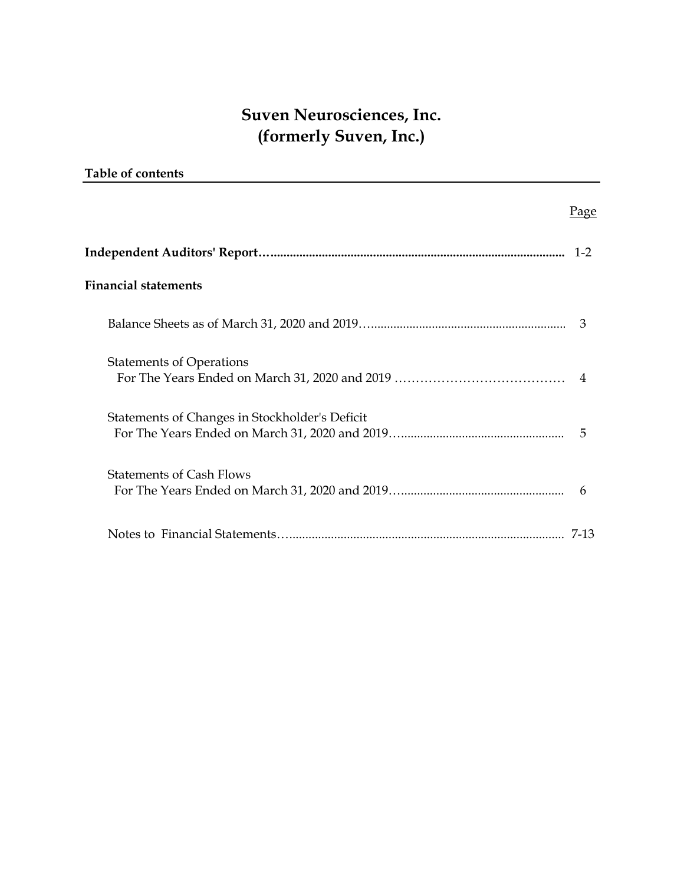| <b>Table of contents</b>                       |      |
|------------------------------------------------|------|
|                                                | Page |
|                                                |      |
| <b>Financial statements</b>                    |      |
|                                                | 3    |
| <b>Statements of Operations</b>                |      |
| Statements of Changes in Stockholder's Deficit | 5    |
| <b>Statements of Cash Flows</b>                | 6    |
|                                                |      |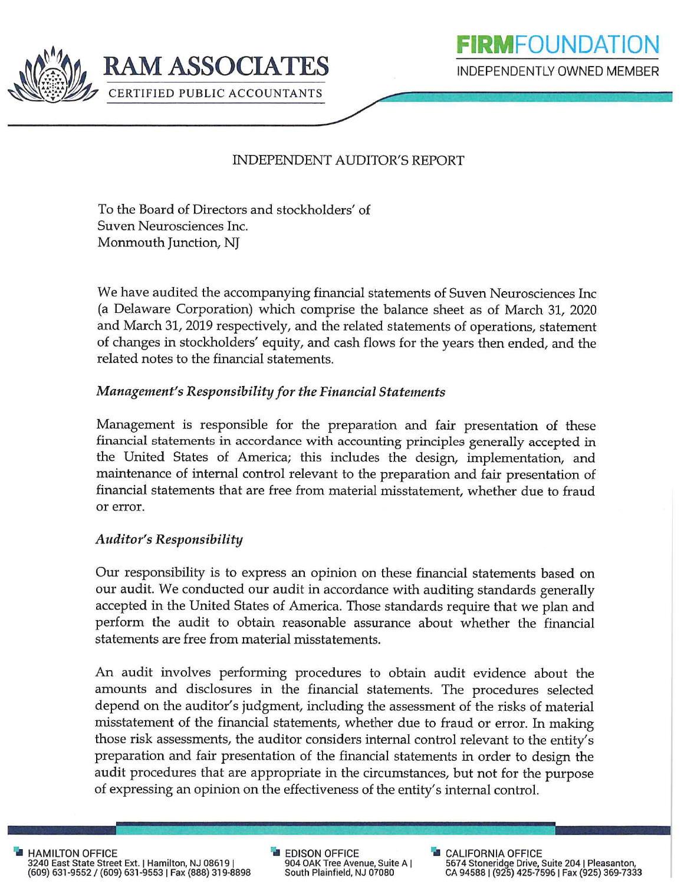

## **INDEPENDENT AUDITOR'S REPORT**

To the Board of Directors and stockholders' of Suven Neurosciences Inc. Monmouth Junction, NJ

We have audited the accompanying financial statements of Suven Neurosciences Inc (a Delaware Corporation) which comprise the balance sheet as of March 31, 2020 and March 31, 2019 respectively, and the related statements of operations, statement of changes in stockholders' equity, and cash flows for the years then ended, and the related notes to the financial statements.

### Management's Responsibility for the Financial Statements

Management is responsible for the preparation and fair presentation of these financial statements in accordance with accounting principles generally accepted in the United States of America; this includes the design, implementation, and maintenance of internal control relevant to the preparation and fair presentation of financial statements that are free from material misstatement, whether due to fraud or error.

#### **Auditor's Responsibility**

Our responsibility is to express an opinion on these financial statements based on our audit. We conducted our audit in accordance with auditing standards generally accepted in the United States of America. Those standards require that we plan and perform the audit to obtain reasonable assurance about whether the financial statements are free from material misstatements.

An audit involves performing procedures to obtain audit evidence about the amounts and disclosures in the financial statements. The procedures selected depend on the auditor's judgment, including the assessment of the risks of material misstatement of the financial statements, whether due to fraud or error. In making those risk assessments, the auditor considers internal control relevant to the entity's preparation and fair presentation of the financial statements in order to design the audit procedures that are appropriate in the circumstances, but not for the purpose of expressing an opinion on the effectiveness of the entity's internal control.

**HAMILTON OFFICE** 3240 East State Street Ext. | Hamilton, NJ 08619 |<br>(609) 631-9552 / (609) 631-9553 | Fax (888) 319-8898 **EDISON OFFICE** 904 OAK Tree Avenue, Suite A | South Plainfield, NJ 07080

**B** CALIFORNIA OFFICE 5674 Stoneridge Drive, Suite 204 | Pleasanton,<br>CA 94588 | (925) 425-7596 | Fax (925) 369-7333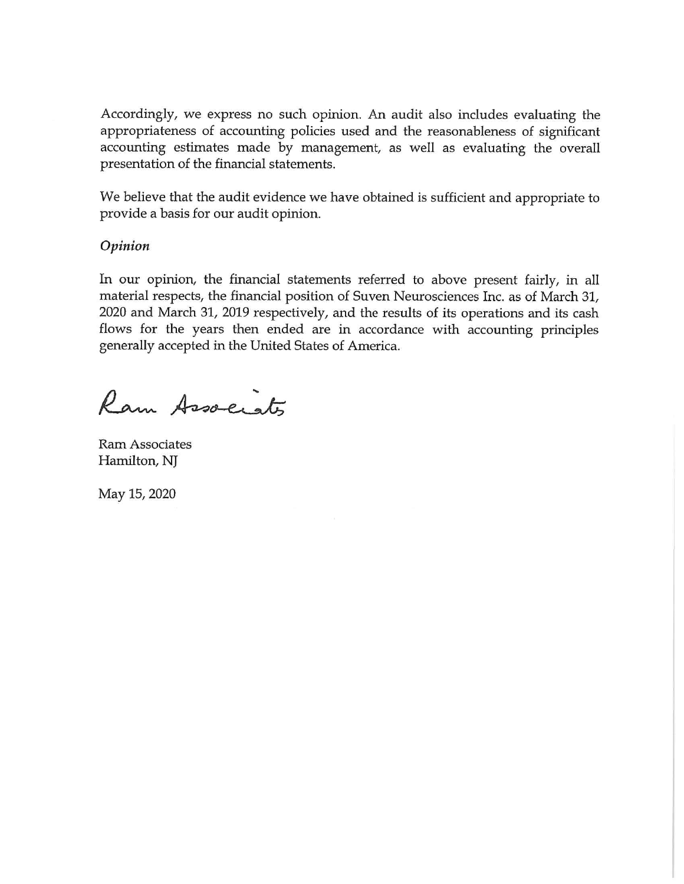Accordingly, we express no such opinion. An audit also includes evaluating the appropriateness of accounting policies used and the reasonableness of significant accounting estimates made by management, as well as evaluating the overall presentation of the financial statements.

We believe that the audit evidence we have obtained is sufficient and appropriate to provide a basis for our audit opinion.

#### Opinion

In our opinion, the financial statements referred to above present fairly, in all material respects, the financial position of Suven Neurosciences Inc. as of March 31, 2020 and March 31, 2019 respectively, and the results of its operations and its cash flows for the years then ended are in accordance with accounting principles generally accepted in the United States of America.

Ram Associats

**Ram Associates** Hamilton, NJ

May 15, 2020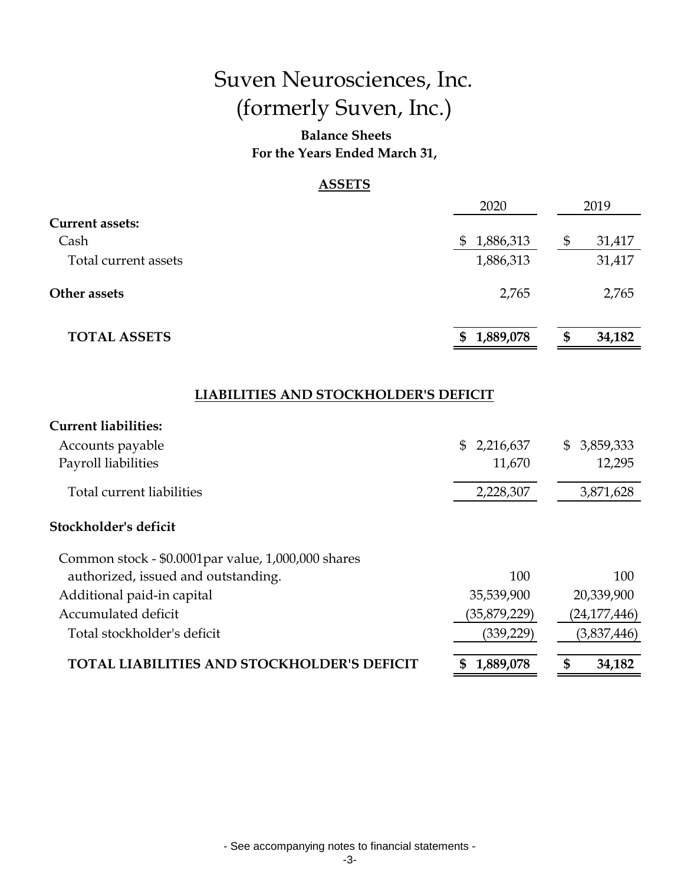## **Balance Sheets For the Years Ended March 31,**

#### **ASSETS**

|                        | 2020            |   | 2019   |
|------------------------|-----------------|---|--------|
| <b>Current assets:</b> |                 |   |        |
| Cash                   | 1,886,313<br>\$ |   | 31,417 |
| Total current assets   | 1,886,313       |   | 31,417 |
| Other assets           | 2,765           |   | 2,765  |
| <b>TOTAL ASSETS</b>    | 1,889,078<br>\$ | S | 34,182 |

## **LIABILITIES AND STOCKHOLDER'S DEFICIT**

| <b>Current liabilities:</b>                        |                  |                             |
|----------------------------------------------------|------------------|-----------------------------|
| Accounts payable                                   | SS.<br>2,216,637 | $\mathfrak{S}$<br>3,859,333 |
| Payroll liabilities                                | 11,670           | 12,295                      |
| Total current liabilities                          | 2,228,307        | 3,871,628                   |
| Stockholder's deficit                              |                  |                             |
| Common stock - \$0.0001par value, 1,000,000 shares |                  |                             |
| authorized, issued and outstanding.                | 100              | 100                         |
| Additional paid-in capital                         | 35,539,900       | 20,339,900                  |
| Accumulated deficit                                | (35,879,229)     | (24, 177, 446)              |
| Total stockholder's deficit                        | (339,229)        | (3,837,446)                 |
| TOTAL LIABILITIES AND STOCKHOLDER'S DEFICIT        | 1,889,078<br>S   | \$<br>34,182                |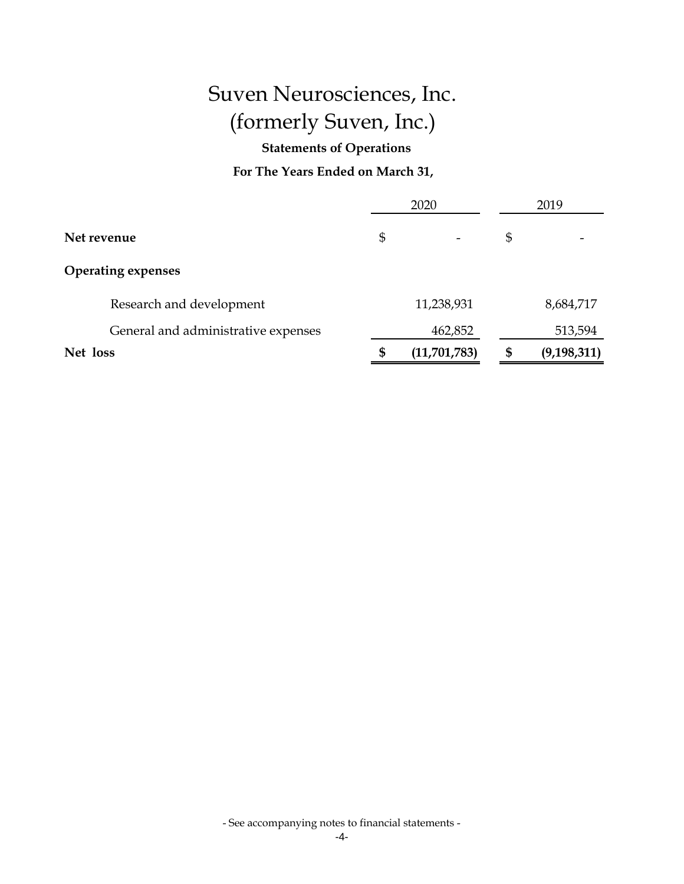**Statements of Operations**

**For The Years Ended on March 31,**

|                                     |    | 2020         | 2019 |               |  |
|-------------------------------------|----|--------------|------|---------------|--|
| Net revenue                         |    |              | \$   |               |  |
| <b>Operating expenses</b>           |    |              |      |               |  |
| Research and development            |    | 11,238,931   |      | 8,684,717     |  |
| General and administrative expenses |    | 462,852      |      | 513,594       |  |
| Net loss                            | \$ | (11,701,783) | \$   | (9, 198, 311) |  |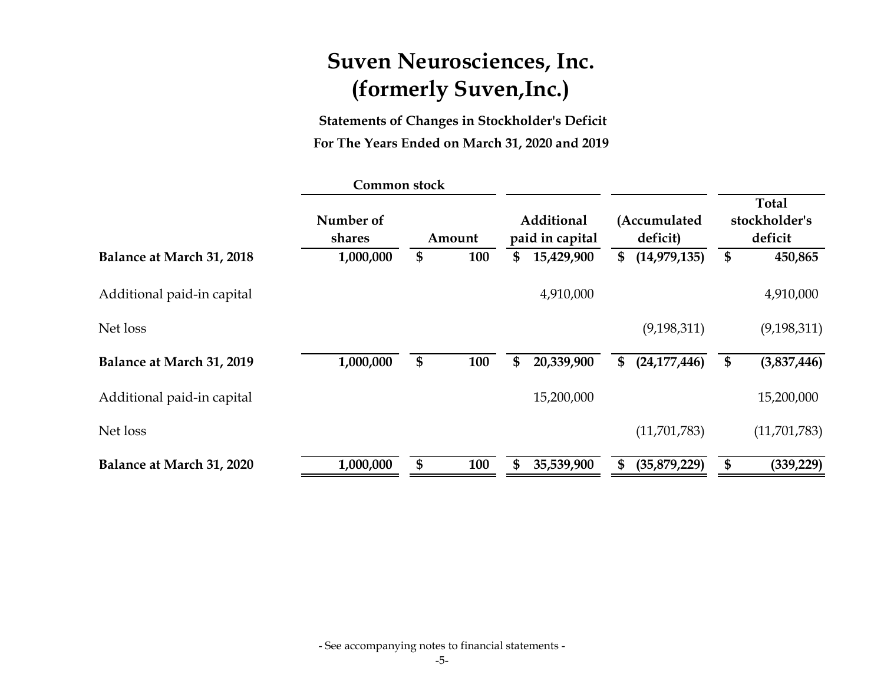**Statements of Changes in Stockholder's Deficit For The Years Ended on March 31, 2020 and 2019**

|                            | Common stock        |           |                                      |                          |                                          |
|----------------------------|---------------------|-----------|--------------------------------------|--------------------------|------------------------------------------|
|                            | Number of<br>shares | Amount    | <b>Additional</b><br>paid in capital | (Accumulated<br>deficit) | <b>Total</b><br>stockholder's<br>deficit |
| Balance at March 31, 2018  | 1,000,000           | \$<br>100 | \$<br>15,429,900                     | \$<br>(14, 979, 135)     | \$<br>450,865                            |
| Additional paid-in capital |                     |           | 4,910,000                            |                          | 4,910,000                                |
| Net loss                   |                     |           |                                      | (9, 198, 311)            | (9, 198, 311)                            |
| Balance at March 31, 2019  | 1,000,000           | \$<br>100 | \$<br>20,339,900                     | \$<br>(24, 177, 446)     | (3,837,446)                              |
| Additional paid-in capital |                     |           | 15,200,000                           |                          | 15,200,000                               |
| Net loss                   |                     |           |                                      | (11,701,783)             | (11,701,783)                             |
| Balance at March 31, 2020  | 1,000,000           | \$<br>100 | \$<br>35,539,900                     | (35,879,229)             | (339, 229)                               |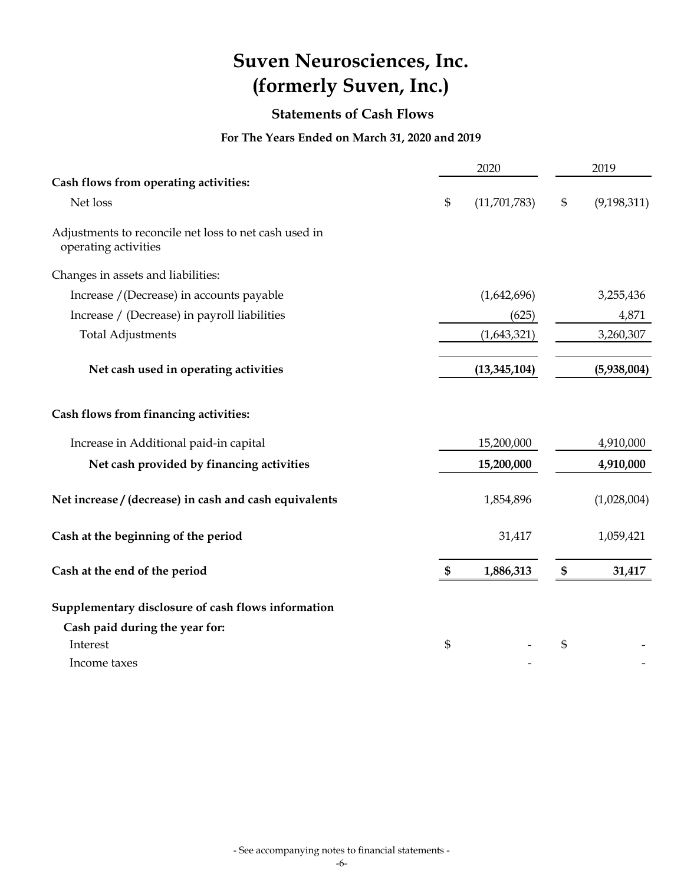## **Statements of Cash Flows**

## **For The Years Ended on March 31, 2020 and 2019**

|                                                                               |    | 2020         | 2019           |               |
|-------------------------------------------------------------------------------|----|--------------|----------------|---------------|
| Cash flows from operating activities:                                         |    |              |                |               |
| Net loss                                                                      | \$ | (11,701,783) | $\mathfrak{S}$ | (9, 198, 311) |
| Adjustments to reconcile net loss to net cash used in<br>operating activities |    |              |                |               |
| Changes in assets and liabilities:                                            |    |              |                |               |
| Increase / (Decrease) in accounts payable                                     |    | (1,642,696)  |                | 3,255,436     |
| Increase / (Decrease) in payroll liabilities                                  |    | (625)        |                | 4,871         |
| <b>Total Adjustments</b>                                                      |    | (1,643,321)  |                | 3,260,307     |
| Net cash used in operating activities                                         |    | (5,938,004)  |                |               |
| Cash flows from financing activities:                                         |    |              |                |               |
| Increase in Additional paid-in capital                                        |    | 15,200,000   |                | 4,910,000     |
| Net cash provided by financing activities                                     |    |              | 4,910,000      |               |
| Net increase / (decrease) in cash and cash equivalents                        |    | 1,854,896    |                | (1,028,004)   |
| Cash at the beginning of the period                                           |    | 31,417       |                | 1,059,421     |
| Cash at the end of the period                                                 | \$ | 1,886,313    | \$             | 31,417        |
| Supplementary disclosure of cash flows information                            |    |              |                |               |
| Cash paid during the year for:                                                |    |              |                |               |
| Interest                                                                      | \$ |              | \$             |               |
| Income taxes                                                                  |    |              |                |               |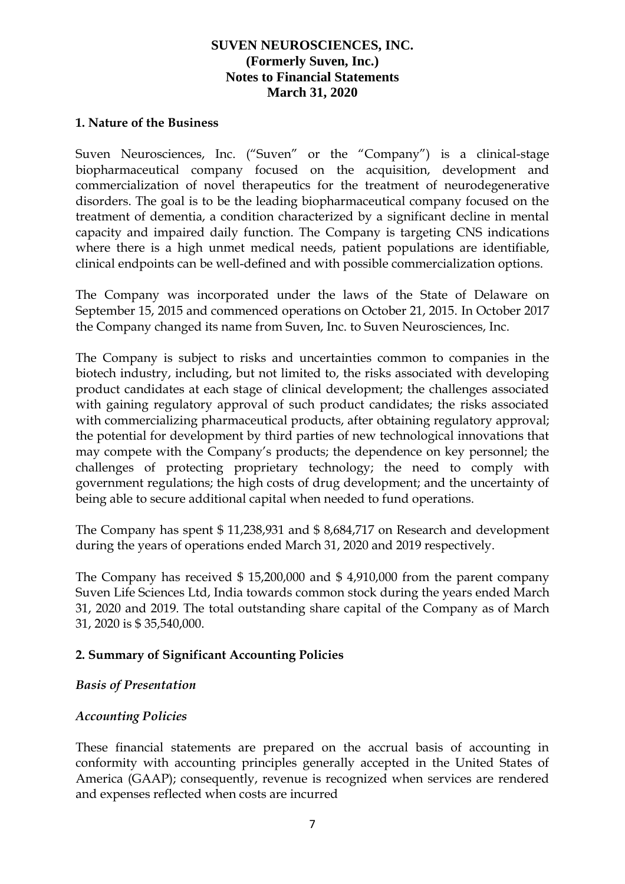#### **1. Nature of the Business**

Suven Neurosciences, Inc. ("Suven" or the "Company") is a clinical-stage biopharmaceutical company focused on the acquisition, development and commercialization of novel therapeutics for the treatment of neurodegenerative disorders. The goal is to be the leading biopharmaceutical company focused on the treatment of dementia, a condition characterized by a significant decline in mental capacity and impaired daily function. The Company is targeting CNS indications where there is a high unmet medical needs, patient populations are identifiable, clinical endpoints can be well-defined and with possible commercialization options.

The Company was incorporated under the laws of the State of Delaware on September 15, 2015 and commenced operations on October 21, 2015. In October 2017 the Company changed its name from Suven, Inc. to Suven Neurosciences, Inc.

The Company is subject to risks and uncertainties common to companies in the biotech industry, including, but not limited to, the risks associated with developing product candidates at each stage of clinical development; the challenges associated with gaining regulatory approval of such product candidates; the risks associated with commercializing pharmaceutical products, after obtaining regulatory approval; the potential for development by third parties of new technological innovations that may compete with the Company's products; the dependence on key personnel; the challenges of protecting proprietary technology; the need to comply with government regulations; the high costs of drug development; and the uncertainty of being able to secure additional capital when needed to fund operations.

The Company has spent \$ 11,238,931 and \$ 8,684,717 on Research and development during the years of operations ended March 31, 2020 and 2019 respectively.

The Company has received \$ 15,200,000 and \$ 4,910,000 from the parent company Suven Life Sciences Ltd, India towards common stock during the years ended March 31, 2020 and 2019. The total outstanding share capital of the Company as of March 31, 2020 is \$ 35,540,000.

## **2. Summary of Significant Accounting Policies**

## *Basis of Presentation*

## *Accounting Policies*

These financial statements are prepared on the accrual basis of accounting in conformity with accounting principles generally accepted in the United States of America (GAAP); consequently, revenue is recognized when services are rendered and expenses reflected when costs are incurred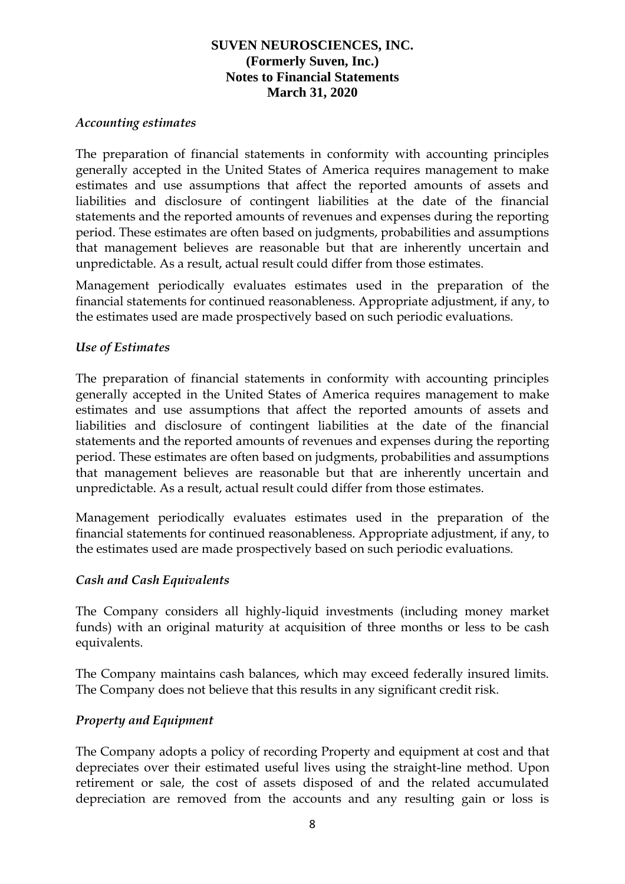#### *Accounting estimates*

The preparation of financial statements in conformity with accounting principles generally accepted in the United States of America requires management to make estimates and use assumptions that affect the reported amounts of assets and liabilities and disclosure of contingent liabilities at the date of the financial statements and the reported amounts of revenues and expenses during the reporting period. These estimates are often based on judgments, probabilities and assumptions that management believes are reasonable but that are inherently uncertain and unpredictable. As a result, actual result could differ from those estimates.

Management periodically evaluates estimates used in the preparation of the financial statements for continued reasonableness. Appropriate adjustment, if any, to the estimates used are made prospectively based on such periodic evaluations.

#### *Use of Estimates*

The preparation of financial statements in conformity with accounting principles generally accepted in the United States of America requires management to make estimates and use assumptions that affect the reported amounts of assets and liabilities and disclosure of contingent liabilities at the date of the financial statements and the reported amounts of revenues and expenses during the reporting period. These estimates are often based on judgments, probabilities and assumptions that management believes are reasonable but that are inherently uncertain and unpredictable. As a result, actual result could differ from those estimates.

Management periodically evaluates estimates used in the preparation of the financial statements for continued reasonableness. Appropriate adjustment, if any, to the estimates used are made prospectively based on such periodic evaluations.

#### *Cash and Cash Equivalents*

The Company considers all highly-liquid investments (including money market funds) with an original maturity at acquisition of three months or less to be cash equivalents.

The Company maintains cash balances, which may exceed federally insured limits. The Company does not believe that this results in any significant credit risk.

#### *Property and Equipment*

The Company adopts a policy of recording Property and equipment at cost and that depreciates over their estimated useful lives using the straight-line method. Upon retirement or sale, the cost of assets disposed of and the related accumulated depreciation are removed from the accounts and any resulting gain or loss is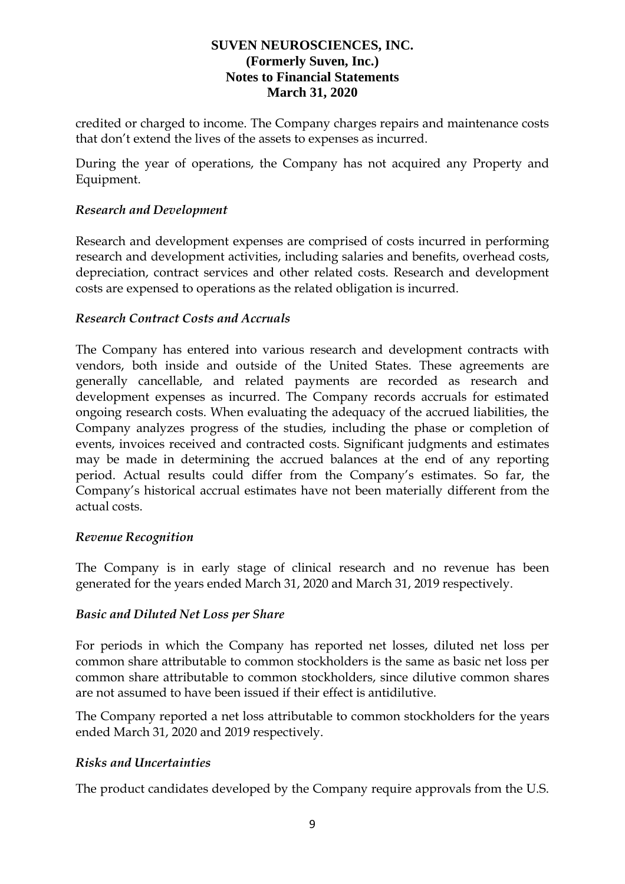credited or charged to income. The Company charges repairs and maintenance costs that don't extend the lives of the assets to expenses as incurred.

During the year of operations, the Company has not acquired any Property and Equipment.

### *Research and Development*

Research and development expenses are comprised of costs incurred in performing research and development activities, including salaries and benefits, overhead costs, depreciation, contract services and other related costs. Research and development costs are expensed to operations as the related obligation is incurred.

### *Research Contract Costs and Accruals*

The Company has entered into various research and development contracts with vendors, both inside and outside of the United States. These agreements are generally cancellable, and related payments are recorded as research and development expenses as incurred. The Company records accruals for estimated ongoing research costs. When evaluating the adequacy of the accrued liabilities, the Company analyzes progress of the studies, including the phase or completion of events, invoices received and contracted costs. Significant judgments and estimates may be made in determining the accrued balances at the end of any reporting period. Actual results could differ from the Company's estimates. So far, the Company's historical accrual estimates have not been materially different from the actual costs.

#### *Revenue Recognition*

The Company is in early stage of clinical research and no revenue has been generated for the years ended March 31, 2020 and March 31, 2019 respectively.

#### *Basic and Diluted Net Loss per Share*

For periods in which the Company has reported net losses, diluted net loss per common share attributable to common stockholders is the same as basic net loss per common share attributable to common stockholders, since dilutive common shares are not assumed to have been issued if their effect is antidilutive.

The Company reported a net loss attributable to common stockholders for the years ended March 31, 2020 and 2019 respectively.

#### *Risks and Uncertainties*

The product candidates developed by the Company require approvals from the U.S.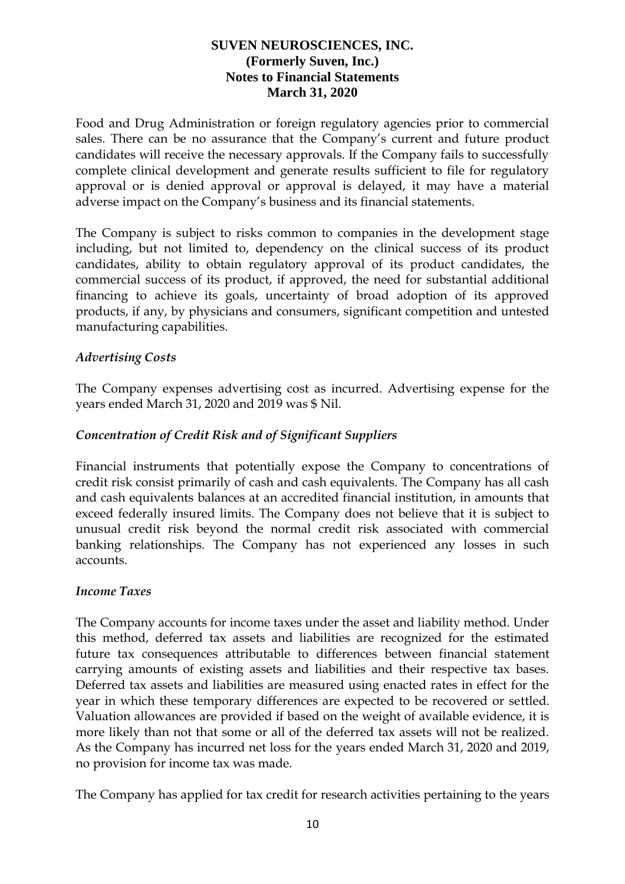Food and Drug Administration or foreign regulatory agencies prior to commercial sales. There can be no assurance that the Company's current and future product candidates will receive the necessary approvals. If the Company fails to successfully complete clinical development and generate results sufficient to file for regulatory approval or is denied approval or approval is delayed, it may have a material adverse impact on the Company's business and its financial statements.

The Company is subject to risks common to companies in the development stage including, but not limited to, dependency on the clinical success of its product candidates, ability to obtain regulatory approval of its product candidates, the commercial success of its product, if approved, the need for substantial additional financing to achieve its goals, uncertainty of broad adoption of its approved products, if any, by physicians and consumers, significant competition and untested manufacturing capabilities.

## *Advertising Costs*

The Company expenses advertising cost as incurred. Advertising expense for the years ended March 31, 2020 and 2019 was \$ Nil.

## *Concentration of Credit Risk and of Significant Suppliers*

Financial instruments that potentially expose the Company to concentrations of credit risk consist primarily of cash and cash equivalents. The Company has all cash and cash equivalents balances at an accredited financial institution, in amounts that exceed federally insured limits. The Company does not believe that it is subject to unusual credit risk beyond the normal credit risk associated with commercial banking relationships. The Company has not experienced any losses in such accounts.

## *Income Taxes*

The Company accounts for income taxes under the asset and liability method. Under this method, deferred tax assets and liabilities are recognized for the estimated future tax consequences attributable to differences between financial statement carrying amounts of existing assets and liabilities and their respective tax bases. Deferred tax assets and liabilities are measured using enacted rates in effect for the year in which these temporary differences are expected to be recovered or settled. Valuation allowances are provided if based on the weight of available evidence, it is more likely than not that some or all of the deferred tax assets will not be realized. As the Company has incurred net loss for the years ended March 31, 2020 and 2019, no provision for income tax was made.

The Company has applied for tax credit for research activities pertaining to the years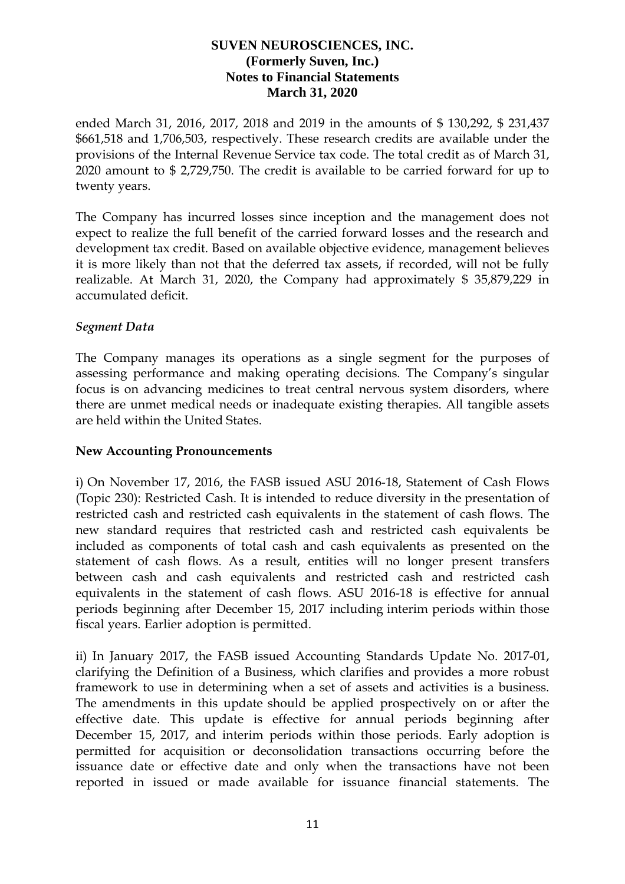ended March 31, 2016, 2017, 2018 and 2019 in the amounts of \$ 130,292, \$ 231,437 \$661,518 and 1,706,503, respectively. These research credits are available under the provisions of the Internal Revenue Service tax code. The total credit as of March 31, 2020 amount to \$ 2,729,750. The credit is available to be carried forward for up to twenty years.

The Company has incurred losses since inception and the management does not expect to realize the full benefit of the carried forward losses and the research and development tax credit. Based on available objective evidence, management believes it is more likely than not that the deferred tax assets, if recorded, will not be fully realizable. At March 31, 2020, the Company had approximately \$ 35,879,229 in accumulated deficit.

### *Segment Data*

The Company manages its operations as a single segment for the purposes of assessing performance and making operating decisions. The Company's singular focus is on advancing medicines to treat central nervous system disorders, where there are unmet medical needs or inadequate existing therapies. All tangible assets are held within the United States.

#### **New Accounting Pronouncements**

i) On November 17, 2016, the FASB issued ASU 2016-18, Statement of Cash Flows (Topic 230): Restricted Cash. It is intended to reduce diversity in the presentation of restricted cash and restricted cash equivalents in the statement of cash flows. The new standard requires that restricted cash and restricted cash equivalents be included as components of total cash and cash equivalents as presented on the statement of cash flows. As a result, entities will no longer present transfers between cash and cash equivalents and restricted cash and restricted cash equivalents in the statement of cash flows. ASU 2016-18 is effective for annual periods beginning after December 15, 2017 including interim periods within those fiscal years. Earlier adoption is permitted.

ii) In January 2017, the FASB issued Accounting Standards Update No. 2017-01, clarifying the Definition of a Business, which clarifies and provides a more robust framework to use in determining when a set of assets and activities is a business. The amendments in this update should be applied prospectively on or after the effective date. This update is effective for annual periods beginning after December 15, 2017, and interim periods within those periods. Early adoption is permitted for acquisition or deconsolidation transactions occurring before the issuance date or effective date and only when the transactions have not been reported in issued or made available for issuance financial statements. The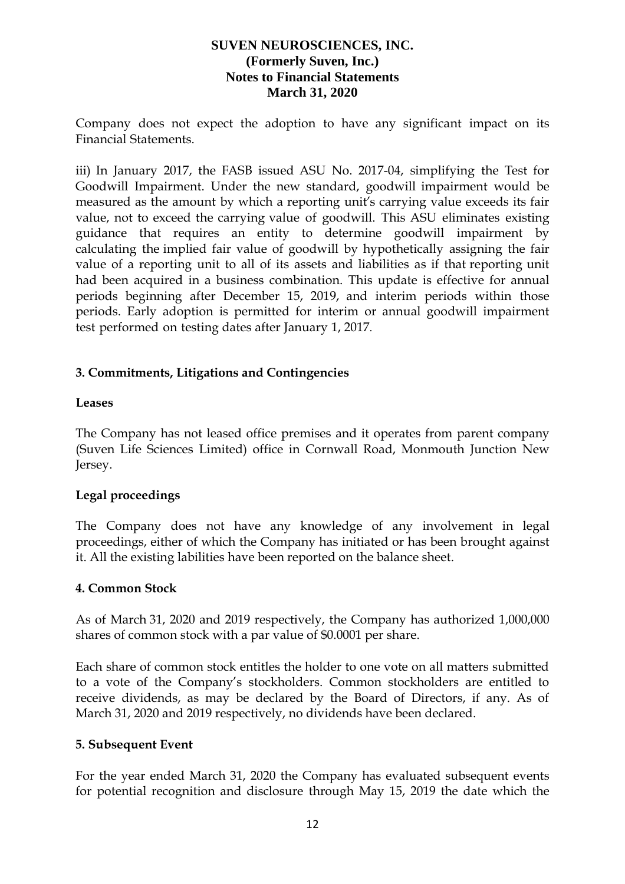Company does not expect the adoption to have any significant impact on its Financial Statements.

iii) In January 2017, the FASB issued ASU No. 2017-04, simplifying the Test for Goodwill Impairment. Under the new standard, goodwill impairment would be measured as the amount by which a reporting unit's carrying value exceeds its fair value, not to exceed the carrying value of goodwill. This ASU eliminates existing guidance that requires an entity to determine goodwill impairment by calculating the implied fair value of goodwill by hypothetically assigning the fair value of a reporting unit to all of its assets and liabilities as if that reporting unit had been acquired in a business combination. This update is effective for annual periods beginning after December 15, 2019, and interim periods within those periods. Early adoption is permitted for interim or annual goodwill impairment test performed on testing dates after January 1, 2017.

## **3. Commitments, Litigations and Contingencies**

## **Leases**

The Company has not leased office premises and it operates from parent company (Suven Life Sciences Limited) office in Cornwall Road, Monmouth Junction New Jersey.

## **Legal proceedings**

The Company does not have any knowledge of any involvement in legal proceedings, either of which the Company has initiated or has been brought against it. All the existing labilities have been reported on the balance sheet.

## **4. Common Stock**

As of March 31, 2020 and 2019 respectively, the Company has authorized 1,000,000 shares of common stock with a par value of \$0.0001 per share.

Each share of common stock entitles the holder to one vote on all matters submitted to a vote of the Company's stockholders. Common stockholders are entitled to receive dividends, as may be declared by the Board of Directors, if any. As of March 31, 2020 and 2019 respectively, no dividends have been declared.

#### **5. Subsequent Event**

For the year ended March 31, 2020 the Company has evaluated subsequent events for potential recognition and disclosure through May 15, 2019 the date which the